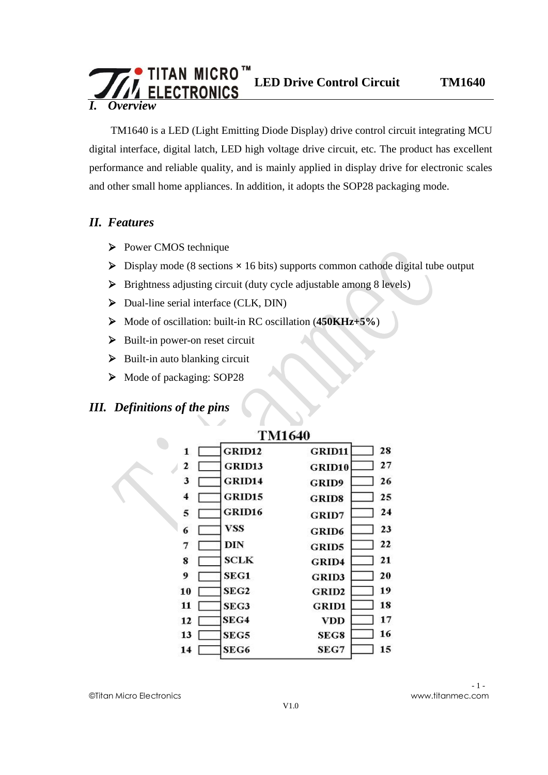### **TITAN MICRO™**<br>
LED Drive Control Circuit TM1640 **ECTRONICS** *I. Overview*

TM1640 is a LED (Light Emitting Diode Display) drive control circuit integrating MCU digital interface, digital latch, LED high voltage drive circuit, etc. The product has excellent performance and reliable quality, and is mainly applied in display drive for electronic scales and other small home appliances. In addition, it adopts the SOP28 packaging mode.

#### *II. Features*

- Ø Power CMOS technique
- Ø Display mode (8 sections **×** 16 bits) supports common cathode digital tube output
- Ø Brightness adjusting circuit (duty cycle adjustable among 8 levels)
- Ø Dual-line serial interface (CLK, DIN)
- Ø Mode of oscillation: built-in RC oscillation (**450KHz+5%**)
- $\triangleright$  Built-in power-on reset circuit
- $\triangleright$  Built-in auto blanking circuit
- Ø Mode of packaging: SOP28

### *III. Definitions of the pins*

|              | <b>TM1640</b>    |               |    |
|--------------|------------------|---------------|----|
| $\mathbf{1}$ | <b>GRID12</b>    | <b>GRID11</b> | 28 |
| 2            | GRID13           | GRID10        | 27 |
| 3            | GRID14           | <b>GRID9</b>  | 26 |
| 4            | GRID15           | <b>GRID8</b>  | 25 |
| 5            | GRID16           | <b>GRID7</b>  | 24 |
| 6            | VSS              | <b>GRID6</b>  | 23 |
| 7            | DIN              | <b>GRID5</b>  | 22 |
| 8            | SCLK             | <b>GRID4</b>  | 21 |
| 9            | SEG1             | <b>GRID3</b>  | 20 |
| 10           | SEG <sub>2</sub> | <b>GRID2</b>  | 19 |
| 11           | SEG3             | <b>GRID1</b>  | 18 |
| 12           | SEG4             | VDD           | 17 |
| 13           | SEG5             | SEG8          | 16 |
| 14           | SEG6             | SEG7          | 15 |

#### ©Titan Micro Electronics www.titanmec.com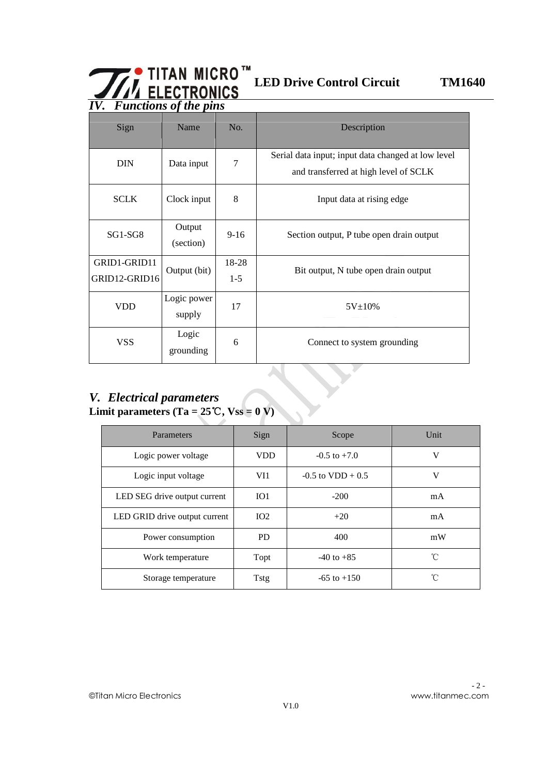# **LED Drive Control Circuit TM1640**

|                                           | $\overline{IV.}$ Functions of the pins |                |                                                                                             |  |  |  |  |  |  |  |  |  |
|-------------------------------------------|----------------------------------------|----------------|---------------------------------------------------------------------------------------------|--|--|--|--|--|--|--|--|--|
| Sign                                      | Name                                   | No.            | Description                                                                                 |  |  |  |  |  |  |  |  |  |
| <b>DIN</b>                                | Data input                             | 7              | Serial data input; input data changed at low level<br>and transferred at high level of SCLK |  |  |  |  |  |  |  |  |  |
| <b>SCLK</b>                               | Clock input                            | 8              | Input data at rising edge                                                                   |  |  |  |  |  |  |  |  |  |
| SG1-SG8                                   | Output<br>(section)                    | $9-16$         | Section output, P tube open drain output                                                    |  |  |  |  |  |  |  |  |  |
| GRID1-GRID11<br>GRID12-GRID16             | Output (bit)                           | 18-28<br>$1-5$ | Bit output, N tube open drain output                                                        |  |  |  |  |  |  |  |  |  |
| Logic power<br><b>VDD</b><br>17<br>supply |                                        | $5V \pm 10\%$  |                                                                                             |  |  |  |  |  |  |  |  |  |
| <b>VSS</b>                                | Logic<br>grounding                     | 6              | Connect to system grounding                                                                 |  |  |  |  |  |  |  |  |  |

### *V. Electrical parameters* **Limit parameters (Ta =**  $25^{\circ}$ **C, Vss = 0 V)**

| Parameters                    | Sign            | Scope                | Unit         |
|-------------------------------|-----------------|----------------------|--------------|
| Logic power voltage           | <b>VDD</b>      | $-0.5$ to $+7.0$     | V            |
| Logic input voltage           | VI1             | $-0.5$ to VDD $+0.5$ | V            |
| LED SEG drive output current  | IO <sub>1</sub> | $-200$               | mA           |
| LED GRID drive output current | IO <sub>2</sub> | $+20$                | mA           |
| Power consumption             | <b>PD</b>       | 400                  | mW           |
| Work temperature              | Topt            | $-40$ to $+85$       | $^{\circ}$ C |
| Storage temperature           | Tstg            | $-65$ to $+150$      | °C           |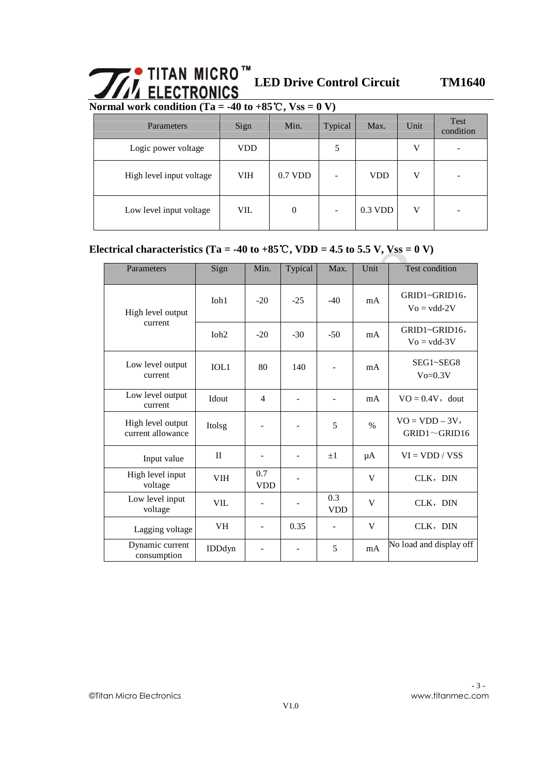# **LED Drive Control Circuit TM1640**

Normal work condition (Ta =  $-40$  to  $+85^{\circ}$ C, Vss = 0 V)

| Parameters               | Sign       | Min.           | Typical | Max.       | Unit | Test<br>condition |
|--------------------------|------------|----------------|---------|------------|------|-------------------|
| Logic power voltage      | <b>VDD</b> |                | 5       |            | V    |                   |
| High level input voltage | <b>VIH</b> | $0.7$ VDD      |         | <b>VDD</b> | V    |                   |
| Low level input voltage  | <b>VIL</b> | $\overline{0}$ |         | $0.3$ VDD  | V    |                   |

#### Electrical characteristics (Ta =  $-40$  to  $+85^{\circ}\text{C}$ , VDD = 4.5 to 5.5 V, Vss = 0 V)

| Parameters                             | Sign         | Min.              | Typical | Max.              | Unit          | <b>Test condition</b>                  |
|----------------------------------------|--------------|-------------------|---------|-------------------|---------------|----------------------------------------|
| High level output                      | $I$ oh $1$   | $-20$             | $-25$   | $-40$             | mA            | GRID1~GRID16,<br>$Vo = vdd-2V$         |
| current                                | Ioh2         | $-20$             | $-30$   | $-50$             | mA            | GRID1~GRID16,<br>$Vo = vdd-3V$         |
| Low level output<br>current            | IOL1         | 80                | 140     |                   | mA            | SEG1~SEG8<br>$V_0 = 0.3V$              |
| Low level output<br>current            | Idout        | $\overline{4}$    |         |                   | mA            | $VO = 0.4V$ , dout                     |
| High level output<br>current allowance | Itolsg       |                   |         | 5                 | $\frac{0}{0}$ | $VO = VDD - 3V$<br>$GRID1 \sim GRID16$ |
| Input value                            | $\mathbf{I}$ |                   |         | $+1$              | μA            | $VI = VDD / VSS$                       |
| High level input<br>voltage            | VIH          | 0.7<br><b>VDD</b> |         |                   | V             | CLK, DIN                               |
| Low level input<br>voltage             | <b>VIL</b>   |                   |         | 0.3<br><b>VDD</b> | V             | CLK, DIN                               |
| Lagging voltage                        | VH           |                   | 0.35    |                   | V             | CLK, DIN                               |
| Dynamic current<br>consumption         | IDDdyn       |                   |         | 5                 | mA            | No load and display off                |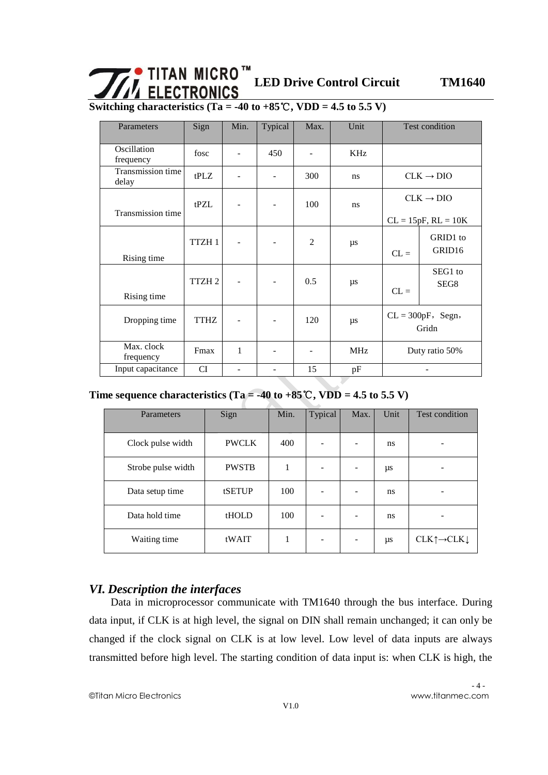# $\begin{array}{ll}\n\begin{array}{ll}\n\bullet \text{ TITAN MICRO} \text{ }\text{ }^{m} \\
\hline\n\text{ } & \text{LED Drive Control Circuit} \\
\hline\n\end{array}\n\end{array}$

**Switching characteristics (Ta = -40 to +85**℃**, VDD = 4.5 to 5.5 V)**

| Parameters                 | Sign              | Min.                     | Typical           | Max.           | Unit       |                | Test condition                              |  |
|----------------------------|-------------------|--------------------------|-------------------|----------------|------------|----------------|---------------------------------------------|--|
| Oscillation<br>frequency   | fosc              | $\overline{\phantom{a}}$ | 450               |                | KHz        |                |                                             |  |
| Transmission time<br>delay | tPLZ              |                          |                   | 300            | ns         |                | $CLK \rightarrow DIO$                       |  |
| Transmission time          | tPZL              |                          |                   | 100            | ns         |                | $CLK \rightarrow DIO$                       |  |
| Rising time                | TTZH <sub>1</sub> |                          |                   | $\mathfrak{D}$ | $\mu$ s    | $CL =$         | $CL = 15pF, RL = 10K$<br>GRID1 to<br>GRID16 |  |
| Rising time                | TTZH <sub>2</sub> |                          |                   | 0.5            | $\mu$ s    | $CL =$         | SEG1 to<br>SEG8                             |  |
| Dropping time              | <b>TTHZ</b>       |                          |                   | 120            | μs         |                | $CL = 300pF$ , Segn,<br>Gridn               |  |
| Max. clock<br>frequency    | Fmax              | 1                        |                   |                | <b>MHz</b> | Duty ratio 50% |                                             |  |
| Input capacitance          | <b>CI</b>         | $\blacksquare$           | $\qquad \qquad -$ | 15             | pF         |                | ۰                                           |  |

#### Time sequence characteristics (Ta =  $-40$  to  $+85^{\circ}$ C, VDD = 4.5 to 5.5 V)

| Parameters              | Sign         | Min. | Typical | Max.                     | Unit | Test condition                            |
|-------------------------|--------------|------|---------|--------------------------|------|-------------------------------------------|
| Clock pulse width       | <b>PWCLK</b> | 400  |         | $\overline{a}$           | ns   |                                           |
| Strobe pulse width      | <b>PWSTB</b> | 1    |         | ۰                        | μs   |                                           |
| Data setup time         | tSETUP       | 100  |         | ۰                        | ns   |                                           |
| Data hold time<br>tHOLD |              | 100  |         |                          | ns   |                                           |
| Waiting time            | tWAIT        | 1    |         | $\overline{\phantom{0}}$ | μs   | $CLK \uparrow \rightarrow CLK \downarrow$ |

#### *VI. Description the interfaces*

Data in microprocessor communicate with TM1640 through the bus interface. During data input, if CLK is at high level, the signal on DIN shall remain unchanged; it can only be changed if the clock signal on CLK is at low level. Low level of data inputs are always transmitted before high level. The starting condition of data input is: when CLK is high, the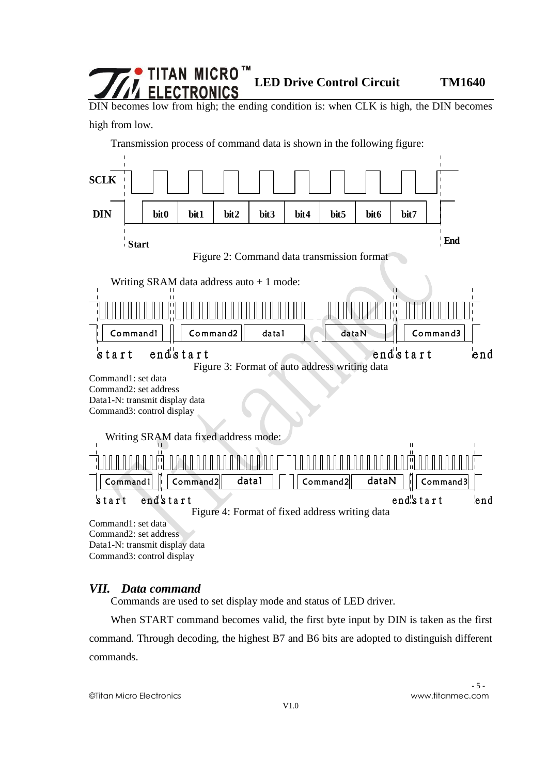## TITAN MICRO™ **LED Drive Control Circuit TM1640**

DIN becomes low from high; the ending condition is: when CLK is high, the DIN becomes high from low.

Transmission process of command data is shown in the following figure:



Data1-N: transmit display data Command3: control display

#### *VII. Data command*

Commands are used to set display mode and status of LED driver.

When START command becomes valid, the first byte input by DIN is taken as the first command. Through decoding, the highest B7 and B6 bits are adopted to distinguish different commands.

©Titan Micro Electronics www.titanmec.com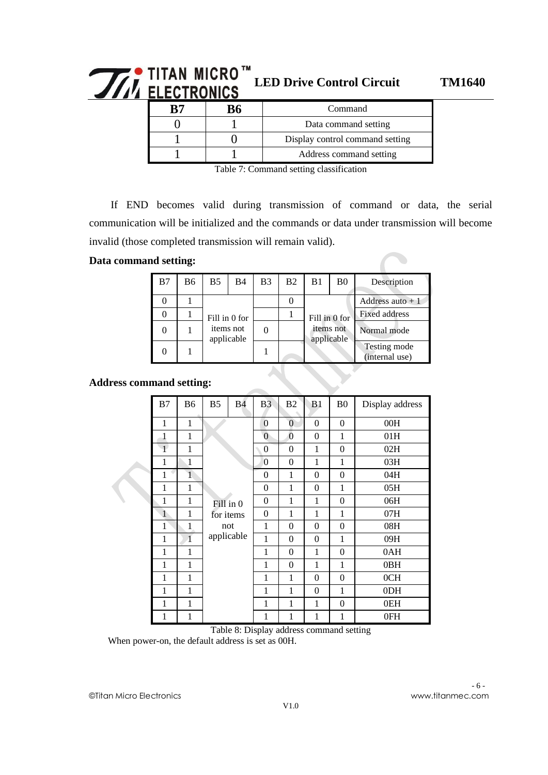# $\begin{array}{ll}\n\mathbf{W}^{\bullet} & \text{TITAN} & \text{MICRO}^{\mathsf{TM}} \\
\text{NLECTRONICS} & \text{LED Drive Control Circuit} \\
\end{array}$

|  | Command                         |  |  |  |
|--|---------------------------------|--|--|--|
|  | Data command setting            |  |  |  |
|  | Display control command setting |  |  |  |
|  | Address command setting         |  |  |  |

Table 7: Command setting classification

If END becomes valid during transmission of command or data, the serial communication will be initialized and the commands or data under transmission will become invalid (those completed transmission will remain valid).

#### **Data command setting:**

| B7 | <b>B6</b> | B5. | B4                      | B <sub>3</sub> | B <sub>2</sub> | B <sub>1</sub> | B <sub>0</sub>                        | Description                    |  |
|----|-----------|-----|-------------------------|----------------|----------------|----------------|---------------------------------------|--------------------------------|--|
|    |           |     |                         |                |                |                |                                       | Address auto $+1$              |  |
|    |           |     | Fill in 0 for           |                |                |                | <b>Fixed address</b><br>Fill in 0 for |                                |  |
|    |           |     | items not<br>applicable |                |                | items not      | applicable                            | Normal mode                    |  |
|    |           |     |                         |                |                |                |                                       | Testing mode<br>(internal use) |  |

#### **Address command setting:**

| B7           | B <sub>6</sub> | B <sub>5</sub> | <b>B4</b> | B <sub>3</sub>   | B2               | B <sub>1</sub>   | B <sub>0</sub>   | Display address |
|--------------|----------------|----------------|-----------|------------------|------------------|------------------|------------------|-----------------|
| 1            | $\mathbf{1}$   |                |           | $\overline{0}$   | $\overline{0}$   | $\boldsymbol{0}$ | $\boldsymbol{0}$ | 00H             |
| 1            | $\mathbf{1}$   |                |           | $\overline{0}$   | $\overline{0}$   | $\boldsymbol{0}$ | $\mathbf{1}$     | 01H             |
| $\ddagger$   | 1              |                |           | $\boldsymbol{0}$ | $\Omega$         | 1                | $\mathbf{0}$     | 02H             |
| 1            | $\mathbf{1}$   |                |           | $\overline{0}$   | $\boldsymbol{0}$ | $\mathbf{1}$     | $\mathbf{1}$     | 03H             |
| 1            | $\mathbf{1}$   |                |           | $\boldsymbol{0}$ | 1                | $\boldsymbol{0}$ | $\overline{0}$   | 04H             |
| 1            | $\mathbf{1}$   |                |           | $\boldsymbol{0}$ | $\mathbf{1}$     | $\boldsymbol{0}$ | $\mathbf{1}$     | 05H             |
| 1            | $\mathbf{1}$   | Fill in 0      |           | $\overline{0}$   | 1                | $\mathbf{1}$     | $\boldsymbol{0}$ | 06H             |
| $\mathbf{1}$ | 1              | for items      |           | $\theta$         | 1                | 1                | 1                | 07H             |
| $\mathbf{1}$ | $\mathbf{1}$   | not            |           | 1                | $\mathbf{0}$     | $\theta$         | $\mathbf{0}$     | 08H             |
| 1            | 1              | applicable     |           | 1                | $\boldsymbol{0}$ | $\boldsymbol{0}$ | $\mathbf{1}$     | 09H             |
| 1            | 1              |                |           | 1                | $\boldsymbol{0}$ | $\mathbf{1}$     | $\boldsymbol{0}$ | 0AH             |
| 1            | 1              |                |           | 1                | $\Omega$         | 1                | 1                | 0BH             |
| 1            | 1              |                |           | 1                | 1                | $\overline{0}$   | $\boldsymbol{0}$ | 0CH             |
| 1            | 1              |                |           | 1                | 1                | $\boldsymbol{0}$ | $\mathbf{1}$     | 0DH             |
| 1            | $\mathbf{1}$   |                |           | 1                | $\mathbf{1}$     | $\mathbf{1}$     | $\boldsymbol{0}$ | 0EH             |
| 1            | $\mathbf{1}$   |                |           | 1                | 1                | $\mathbf{1}$     | 1                | 0FH             |

Table 8: Display address command setting

When power-on, the default address is set as 00H.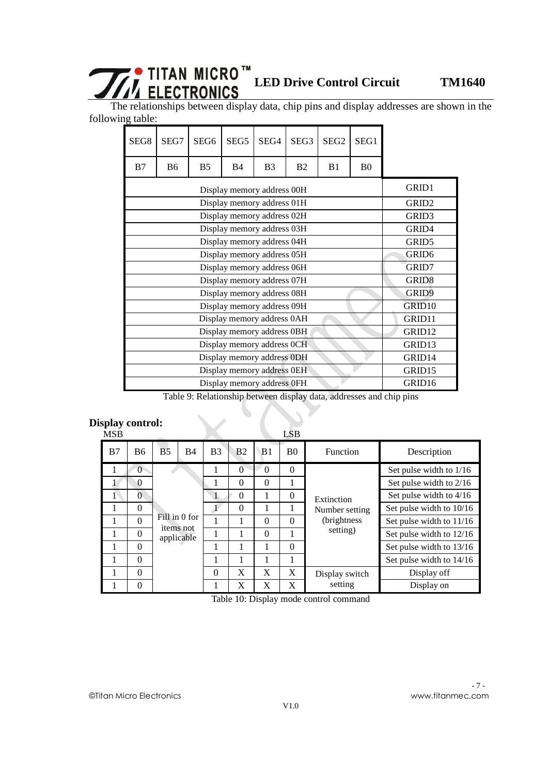# **LED Drive Control Circuit TM1640**

The relationships between display data, chip pins and display addresses are shown in the following table:

| SEG <sub>8</sub> | SEG7                       | SEG <sub>6</sub>  | SEG <sub>5</sub>           | SEG4           | SEG <sub>3</sub> | SEG <sub>2</sub> | SEG1           |                    |  |  |  |  |
|------------------|----------------------------|-------------------|----------------------------|----------------|------------------|------------------|----------------|--------------------|--|--|--|--|
| B7               | B <sub>6</sub>             | <b>B5</b>         | B <sub>4</sub>             | B <sub>3</sub> | B <sub>2</sub>   | B <sub>1</sub>   | B <sub>0</sub> |                    |  |  |  |  |
|                  |                            | GRID1             |                            |                |                  |                  |                |                    |  |  |  |  |
|                  | GRID <sub>2</sub>          |                   |                            |                |                  |                  |                |                    |  |  |  |  |
|                  |                            |                   | Display memory address 02H |                |                  |                  |                | GRID3              |  |  |  |  |
|                  | Display memory address 03H |                   |                            |                |                  |                  |                |                    |  |  |  |  |
|                  | GRID <sub>5</sub>          |                   |                            |                |                  |                  |                |                    |  |  |  |  |
|                  |                            | GRID <sub>6</sub> |                            |                |                  |                  |                |                    |  |  |  |  |
|                  |                            |                   | Display memory address 06H |                |                  |                  |                | GRID7              |  |  |  |  |
|                  |                            |                   | Display memory address 07H |                |                  |                  |                | GRID <sub>8</sub>  |  |  |  |  |
|                  |                            |                   | Display memory address 08H |                |                  |                  |                | GRID9              |  |  |  |  |
|                  |                            |                   | Display memory address 09H |                |                  |                  |                | GRID <sub>10</sub> |  |  |  |  |
|                  |                            |                   | Display memory address 0AH |                |                  |                  |                | GRID11             |  |  |  |  |
|                  |                            |                   | Display memory address 0BH |                |                  |                  |                | GRID12             |  |  |  |  |
|                  |                            |                   | Display memory address 0CH |                |                  |                  |                | GRID13             |  |  |  |  |
|                  |                            |                   | Display memory address ODH |                |                  |                  |                | GRID14             |  |  |  |  |
|                  |                            |                   | Display memory address 0EH |                |                  |                  |                | GRID15             |  |  |  |  |
|                  |                            |                   | Display memory address 0FH |                |                  |                  |                | GRID16             |  |  |  |  |

Table 9: Relationship between display data, addresses and chip pins

### **Display control:**

| <b>MSB</b> |                |                |               |              |                |          | <b>LSB</b>     |                 |                          |
|------------|----------------|----------------|---------------|--------------|----------------|----------|----------------|-----------------|--------------------------|
| B7         | <b>B6</b>      | B <sub>5</sub> | <b>B4</b>     | B3           | B <sub>2</sub> | B1       | B <sub>0</sub> | <b>Function</b> | Description              |
|            | $\theta$       |                |               | 1            | $\theta$       | $\Omega$ | $\Omega$       |                 | Set pulse width to 1/16  |
|            | $\theta$       |                |               |              | $\theta$       | $\Omega$ |                |                 | Set pulse width to 2/16  |
|            | $\overline{0}$ |                |               | $\mathbf{1}$ | $\Omega$       | 1        | $\Omega$       | Extinction      | Set pulse width to 4/16  |
|            | $\theta$       |                |               |              | $\Omega$       |          |                | Number setting  | Set pulse width to 10/16 |
|            | $\theta$       |                | Fill in 0 for |              |                | $\Omega$ | $\Omega$       | (brightness)    | Set pulse width to 11/16 |
|            | $\theta$       | items not      | applicable    |              |                | $\Omega$ |                | setting)        | Set pulse width to 12/16 |
|            | $\Omega$       |                |               |              |                | 1        | $\Omega$       |                 | Set pulse width to 13/16 |
|            | $\Omega$       |                |               |              |                |          |                |                 | Set pulse width to 14/16 |
|            | $\Omega$       |                |               | $\Omega$     | X              | X        | X              | Display switch  | Display off              |
|            | $\Omega$       |                |               |              | X              | X        | X              | setting         | Display on               |

Table 10: Display mode control command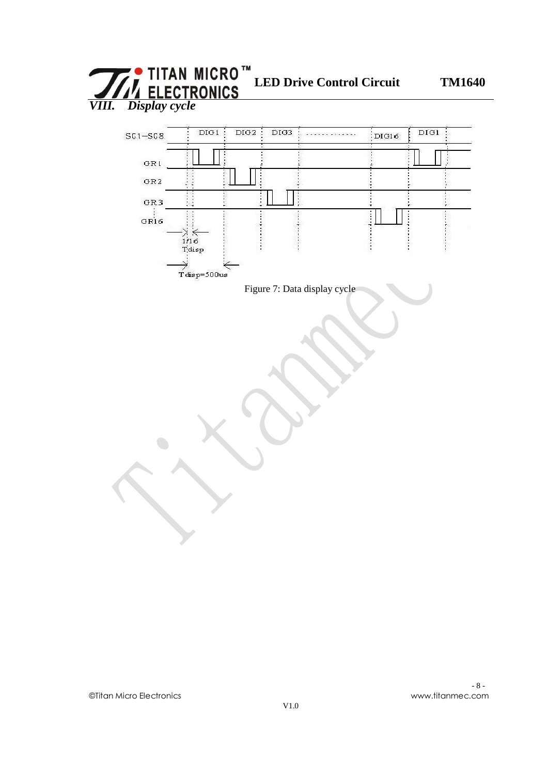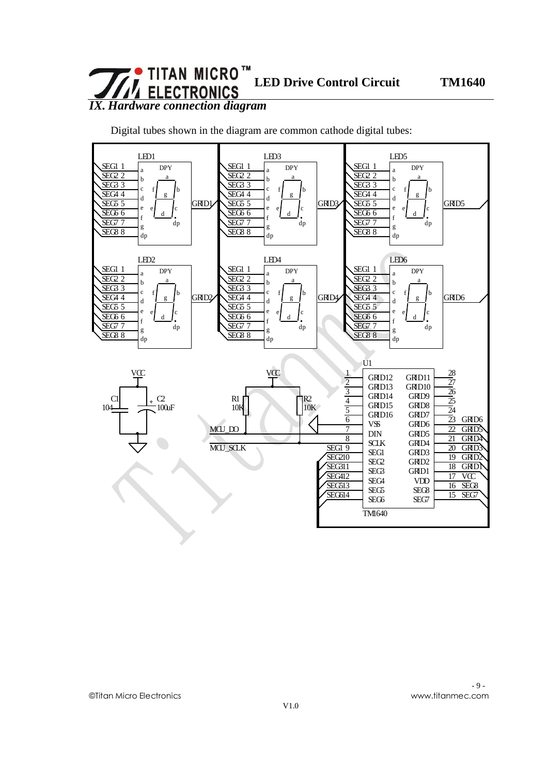